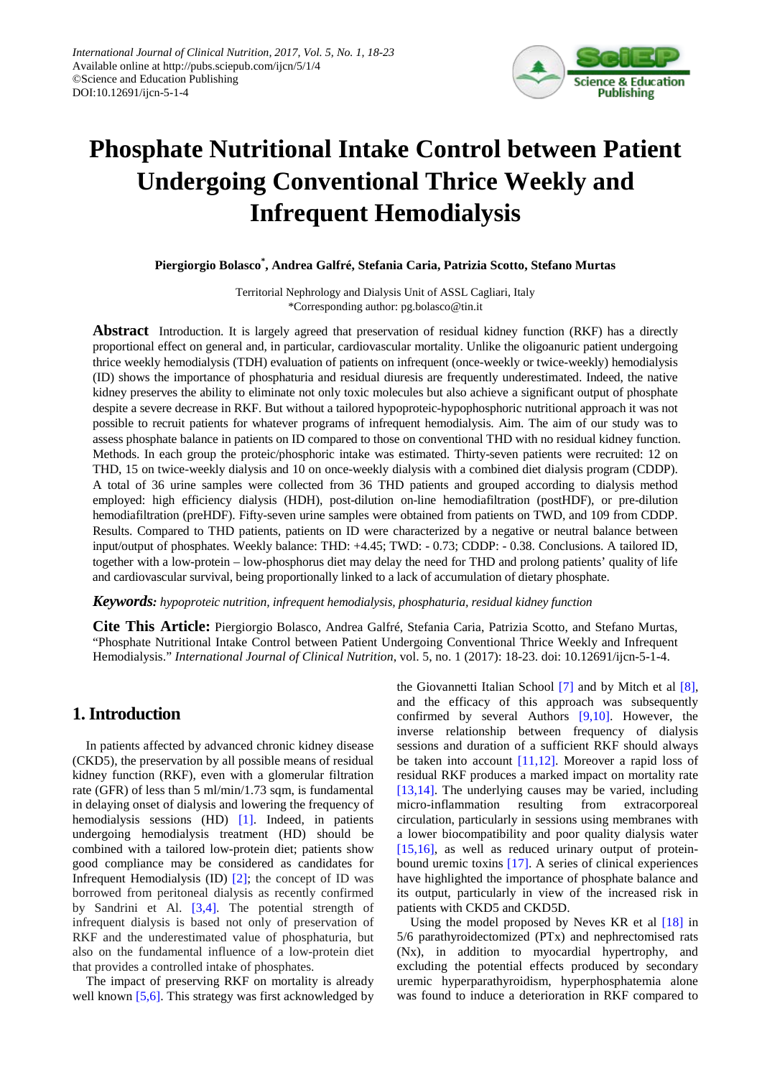

# **Phosphate Nutritional Intake Control between Patient Undergoing Conventional Thrice Weekly and Infrequent Hemodialysis**

**Piergiorgio Bolasco\* , Andrea Galfré, Stefania Caria, Patrizia Scotto, Stefano Murtas**

Territorial Nephrology and Dialysis Unit of ASSL Cagliari, Italy \*Corresponding author: pg.bolasco@tin.it

**Abstract** Introduction. It is largely agreed that preservation of residual kidney function (RKF) has a directly proportional effect on general and, in particular, cardiovascular mortality. Unlike the oligoanuric patient undergoing thrice weekly hemodialysis (TDH) evaluation of patients on infrequent (once-weekly or twice-weekly) hemodialysis (ID) shows the importance of phosphaturia and residual diuresis are frequently underestimated. Indeed, the native kidney preserves the ability to eliminate not only toxic molecules but also achieve a significant output of phosphate despite a severe decrease in RKF. But without a tailored hypoproteic-hypophosphoric nutritional approach it was not possible to recruit patients for whatever programs of infrequent hemodialysis. Aim. The aim of our study was to assess phosphate balance in patients on ID compared to those on conventional THD with no residual kidney function. Methods. In each group the proteic/phosphoric intake was estimated. Thirty-seven patients were recruited: 12 on THD, 15 on twice-weekly dialysis and 10 on once-weekly dialysis with a combined diet dialysis program (CDDP). A total of 36 urine samples were collected from 36 THD patients and grouped according to dialysis method employed: high efficiency dialysis (HDH), post-dilution on-line hemodiafiltration (postHDF), or pre-dilution hemodiafiltration (preHDF). Fifty-seven urine samples were obtained from patients on TWD, and 109 from CDDP. Results. Compared to THD patients, patients on ID were characterized by a negative or neutral balance between input/output of phosphates. Weekly balance: THD: +4.45; TWD: - 0.73; CDDP: - 0.38. Conclusions. A tailored ID, together with a low-protein – low-phosphorus diet may delay the need for THD and prolong patients' quality of life and cardiovascular survival, being proportionally linked to a lack of accumulation of dietary phosphate.

*Keywords: hypoproteic nutrition, infrequent hemodialysis, phosphaturia, residual kidney function*

**Cite This Article:** Piergiorgio Bolasco, Andrea Galfré, Stefania Caria, Patrizia Scotto, and Stefano Murtas, "Phosphate Nutritional Intake Control between Patient Undergoing Conventional Thrice Weekly and Infrequent Hemodialysis." *International Journal of Clinical Nutrition*, vol. 5, no. 1 (2017): 18-23. doi: 10.12691/ijcn-5-1-4.

# **1. Introduction**

In patients affected by advanced chronic kidney disease (CKD5), the preservation by all possible means of residual kidney function (RKF), even with a glomerular filtration rate (GFR) of less than 5 ml/min/1.73 sqm, is fundamental in delaying onset of dialysis and lowering the frequency of hemodialysis sessions (HD) [\[1\].](#page-3-0) Indeed, in patients undergoing hemodialysis treatment (HD) should be combined with a tailored low-protein diet; patients show good compliance may be considered as candidates for Infrequent Hemodialysis (ID) [\[2\];](#page-3-1) the concept of ID was borrowed from peritoneal dialysis as recently confirmed by Sandrini et Al. [\[3,4\].](#page-3-2) The potential strength of infrequent dialysis is based not only of preservation of RKF and the underestimated value of phosphaturia, but also on the fundamental influence of a low-protein diet that provides a controlled intake of phosphates.

The impact of preserving RKF on mortality is already well known [\[5,6\].](#page-3-3) This strategy was first acknowledged by the Giovannetti Italian School [\[7\]](#page-4-0) and by Mitch et al [\[8\],](#page-4-1) and the efficacy of this approach was subsequently confirmed by several Authors [\[9,10\].](#page-4-2) However, the inverse relationship between frequency of dialysis sessions and duration of a sufficient RKF should always be taken into account [\[11,12\].](#page-4-3) Moreover a rapid loss of residual RKF produces a marked impact on mortality rate [\[13,14\].](#page-4-4) The underlying causes may be varied, including micro-inflammation resulting from extracorporeal circulation, particularly in sessions using membranes with a lower biocompatibility and poor quality dialysis water [\[15,16\],](#page-4-5) as well as reduced urinary output of proteinbound uremic toxins [\[17\].](#page-4-6) A series of clinical experiences have highlighted the importance of phosphate balance and its output, particularly in view of the increased risk in patients with CKD5 and CKD5D.

Using the model proposed by Neves KR et al  $[18]$  in 5/6 parathyroidectomized (PTx) and nephrectomised rats (Nx), in addition to myocardial hypertrophy, and excluding the potential effects produced by secondary uremic hyperparathyroidism, hyperphosphatemia alone was found to induce a deterioration in RKF compared to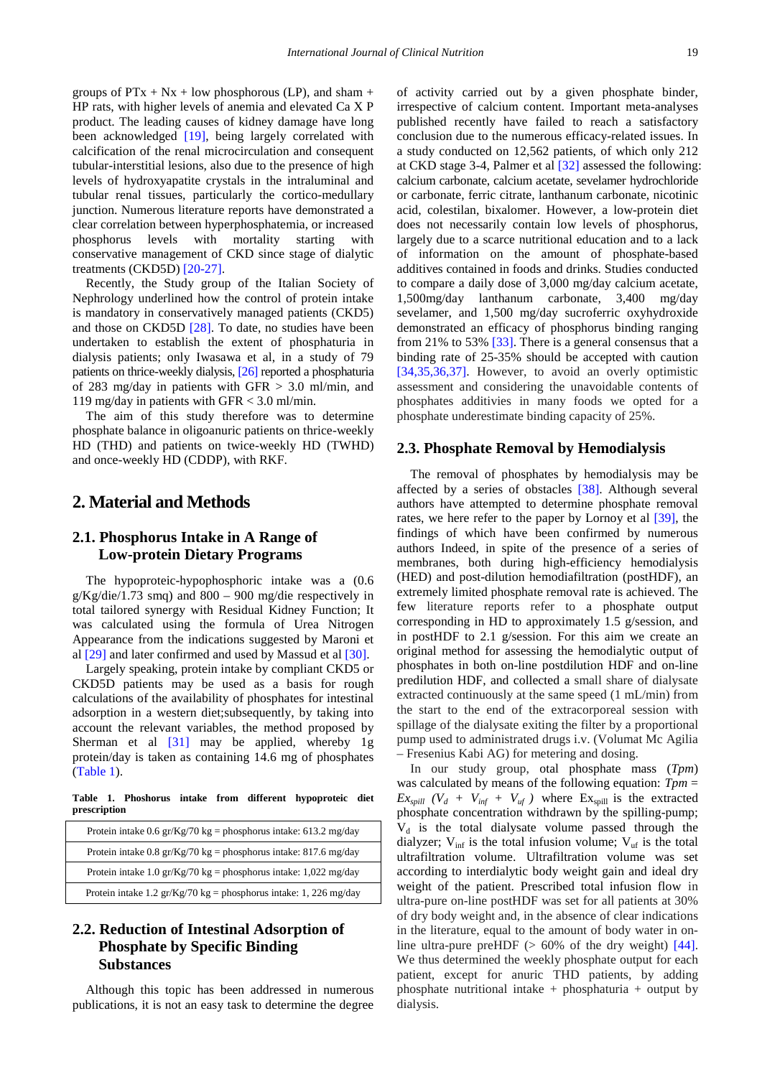groups of  $PTx + Nx + low phosphorous (LP)$ , and sham + HP rats, with higher levels of anemia and elevated Ca X P product. The leading causes of kidney damage have long been acknowledged [\[19\],](#page-4-8) being largely correlated with calcification of the renal microcirculation and consequent tubular-interstitial lesions, also due to the presence of high levels of hydroxyapatite crystals in the intraluminal and tubular renal tissues, particularly the cortico-medullary junction. Numerous literature reports have demonstrated a clear correlation between hyperphosphatemia, or increased phosphorus levels with mortality starting with conservative management of CKD since stage of dialytic treatments (CKD5D) [\[20-27\].](#page-4-9)

Recently, the Study group of the Italian Society of Nephrology underlined how the control of protein intake is mandatory in conservatively managed patients (CKD5) and those on CKD5D [\[28\].](#page-4-10) To date, no studies have been undertaken to establish the extent of phosphaturia in dialysis patients; only Iwasawa et al, in a study of 79 patients on thrice-weekly dialysis, [\[26\]](#page-4-11) reported a phosphaturia of 283 mg/day in patients with GFR  $> 3.0$  ml/min, and 119 mg/day in patients with GFR < 3.0 ml/min.

The aim of this study therefore was to determine phosphate balance in oligoanuric patients on thrice-weekly HD (THD) and patients on twice-weekly HD (TWHD) and once-weekly HD (CDDP), with RKF.

## **2. Material and Methods**

### **2.1. Phosphorus Intake in A Range of Low-protein Dietary Programs**

The hypoproteic-hypophosphoric intake was a (0.6  $g/Kg/die/1.73$  smq) and  $800 - 900$  mg/die respectively in total tailored synergy with Residual Kidney Function; It was calculated using the formula of Urea Nitrogen Appearance from the indications suggested by Maroni et al [\[29\]](#page-4-12) and later confirmed and used by Massud et a[l \[30\].](#page-4-13)

Largely speaking, protein intake by compliant CKD5 or CKD5D patients may be used as a basis for rough calculations of the availability of phosphates for intestinal adsorption in a western diet;subsequently, by taking into account the relevant variables, the method proposed by Sherman et al [\[31\]](#page-4-14) may be applied, whereby 1g protein/day is taken as containing 14.6 mg of phosphates [\(Table 1\)](#page-1-0).

**Table 1. Phoshorus intake from different hypoproteic diet prescription**

<span id="page-1-0"></span>

| Protein intake 0.6 gr/Kg/70 kg = phosphorus intake: 613.2 mg/day           |
|----------------------------------------------------------------------------|
| Protein intake 0.8 gr/Kg/70 kg = phosphorus intake: 817.6 mg/day           |
| Protein intake 1.0 gr/Kg/70 kg = phosphorus intake: $1,022 \text{ mg/day}$ |
| Protein intake 1.2 gr/Kg/70 kg = phosphorus intake: 1, 226 mg/day          |

# **2.2. Reduction of Intestinal Adsorption of Phosphate by Specific Binding Substances**

Although this topic has been addressed in numerous publications, it is not an easy task to determine the degree of activity carried out by a given phosphate binder, irrespective of calcium content. Important meta-analyses published recently have failed to reach a satisfactory conclusion due to the numerous efficacy-related issues. In a study conducted on 12,562 patients, of which only 212 at CKD stage 3-4, Palmer et al [\[32\]](#page-4-15) assessed the following: calcium carbonate, calcium acetate, sevelamer hydrochloride or carbonate, ferric citrate, lanthanum carbonate, nicotinic acid, colestilan, bixalomer. However, a low-protein diet does not necessarily contain low levels of phosphorus, largely due to a scarce nutritional education and to a lack of information on the amount of phosphate-based additives contained in foods and drinks. Studies conducted to compare a daily dose of 3,000 mg/day calcium acetate, 1,500mg/day lanthanum carbonate, 3,400 mg/day sevelamer, and 1,500 mg/day sucroferric oxyhydroxide demonstrated an efficacy of phosphorus binding ranging from 21% to 53% [\[33\].](#page-4-16) There is a general consensus that a binding rate of 25-35% should be accepted with caution [\[34,35,36,37\].](#page-4-17) However, to avoid an overly optimistic assessment and considering the unavoidable contents of phosphates additivies in many foods we opted for a phosphate underestimate binding capacity of 25%.

#### **2.3. Phosphate Removal by Hemodialysis**

The removal of phosphates by hemodialysis may be affected by a series of obstacles [\[38\].](#page-4-18) Although several authors have attempted to determine phosphate removal rates, we here refer to the paper by Lornoy et al [\[39\],](#page-4-19) the findings of which have been confirmed by numerous authors Indeed, in spite of the presence of a series of membranes, both during high-efficiency hemodialysis (HED) and post-dilution hemodiafiltration (postHDF), an extremely limited phosphate removal rate is achieved. The few literature reports refer to a phosphate output corresponding in HD to approximately 1.5 g/session, and in postHDF to 2.1 g/session. For this aim we create an original method for assessing the hemodialytic output of phosphates in both on-line postdilution HDF and on-line predilution HDF, and collected a small share of dialysate extracted continuously at the same speed (1 mL/min) from the start to the end of the extracorporeal session with spillage of the dialysate exiting the filter by a proportional pump used to administrated drugs i.v. (Volumat Mc Agilia – Fresenius Kabi AG) for metering and dosing.

In our study group, otal phosphate mass (*Tpm*) was calculated by means of the following equation: *Tpm* =  $Ex_{spill}$   $(V_d + V_{inf} + V_{uf})$  where  $Ex_{spill}$  is the extracted phosphate concentration withdrawn by the spilling-pump;  $V_d$  is the total dialysate volume passed through the dialyzer;  $V_{\text{inf}}$  is the total infusion volume;  $V_{\text{uf}}$  is the total ultrafiltration volume. Ultrafiltration volume was set according to interdialytic body weight gain and ideal dry weight of the patient. Prescribed total infusion flow in ultra-pure on-line postHDF was set for all patients at 30% of dry body weight and, in the absence of clear indications in the literature, equal to the amount of body water in online ultra-pure preHDF  $(> 60\%$  of the dry weight) [\[44\].](#page-4-20) We thus determined the weekly phosphate output for each patient, except for anuric THD patients, by adding phosphate nutritional intake  $+$  phosphaturia  $+$  output by dialysis.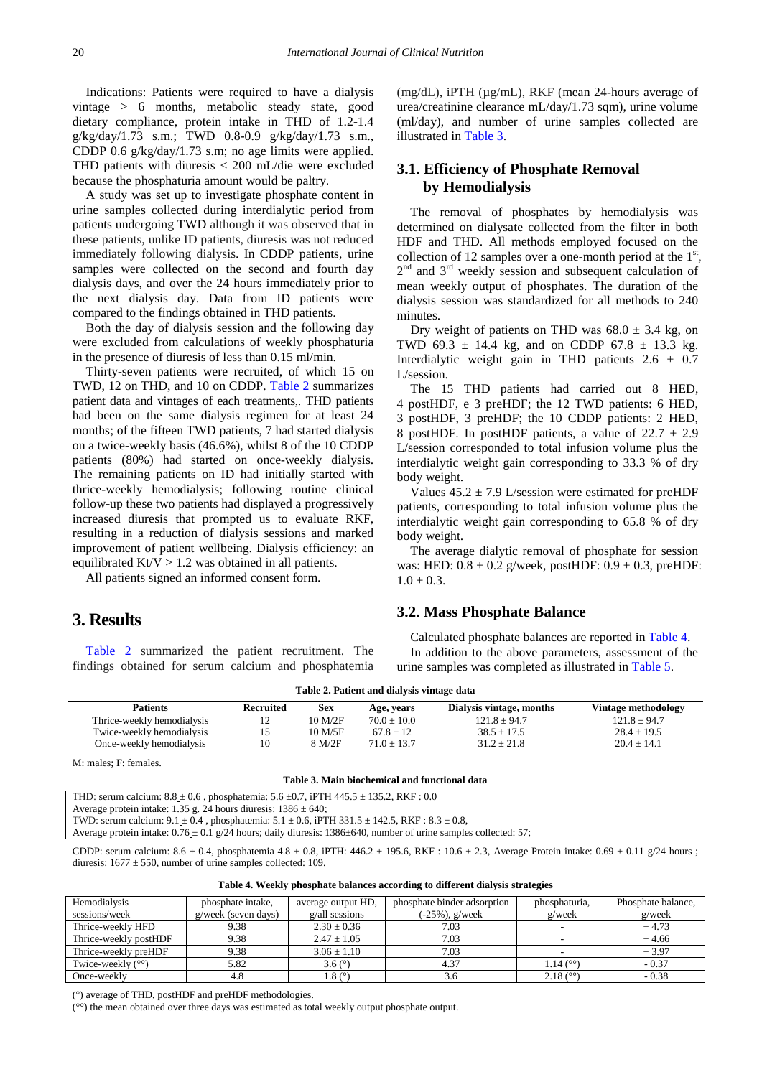Indications: Patients were required to have a dialysis vintage > 6 months, metabolic steady state, good dietary compliance, protein intake in THD of 1.2-1.4 g/kg/day/1.73 s.m.; TWD 0.8-0.9 g/kg/day/1.73 s.m., CDDP 0.6 g/kg/day/1.73 s.m; no age limits were applied. THD patients with diuresis < 200 mL/die were excluded because the phosphaturia amount would be paltry.

A study was set up to investigate phosphate content in urine samples collected during interdialytic period from patients undergoing TWD although it was observed that in these patients, unlike ID patients, diuresis was not reduced immediately following dialysis. In CDDP patients, urine samples were collected on the second and fourth day dialysis days, and over the 24 hours immediately prior to the next dialysis day. Data from ID patients were compared to the findings obtained in THD patients.

Both the day of dialysis session and the following day were excluded from calculations of weekly phosphaturia in the presence of diuresis of less than 0.15 ml/min.

Thirty-seven patients were recruited, of which 15 on TWD, 12 on THD, and 10 on CDDP. [Table 2](#page-2-0) summarizes patient data and vintages of each treatments,. THD patients had been on the same dialysis regimen for at least 24 months; of the fifteen TWD patients, 7 had started dialysis on a twice-weekly basis (46.6%), whilst 8 of the 10 CDDP patients (80%) had started on once-weekly dialysis. The remaining patients on ID had initially started with thrice-weekly hemodialysis; following routine clinical follow-up these two patients had displayed a progressively increased diuresis that prompted us to evaluate RKF, resulting in a reduction of dialysis sessions and marked improvement of patient wellbeing. Dialysis efficiency: an equilibrated Kt/V  $\geq$  1.2 was obtained in all patients.

All patients signed an informed consent form.

#### **3. Results**

[Table 2](#page-2-0) summarized the patient recruitment. The findings obtained for serum calcium and phosphatemia (mg/dL), iPTH (µg/mL), RKF (mean 24-hours average of urea/creatinine clearance mL/day/1.73 sqm), urine volume (ml/day), and number of urine samples collected are illustrated in [Table 3.](#page-2-1)

### **3.1. Efficiency of Phosphate Removal by Hemodialysis**

The removal of phosphates by hemodialysis was determined on dialysate collected from the filter in both HDF and THD. All methods employed focused on the collection of 12 samples over a one-month period at the  $1<sup>st</sup>$ ,  $2<sup>nd</sup>$  and  $3<sup>rd</sup>$  weekly session and subsequent calculation of mean weekly output of phosphates. The duration of the dialysis session was standardized for all methods to 240 minutes.

Dry weight of patients on THD was  $68.0 \pm 3.4$  kg, on TWD 69.3  $\pm$  14.4 kg, and on CDDP 67.8  $\pm$  13.3 kg. Interdialytic weight gain in THD patients  $2.6 \pm 0.7$ L/session.

The 15 THD patients had carried out 8 HED, 4 postHDF, e 3 preHDF; the 12 TWD patients: 6 HED, 3 postHDF, 3 preHDF; the 10 CDDP patients: 2 HED, 8 postHDF. In postHDF patients, a value of  $22.7 \pm 2.9$ L/session corresponded to total infusion volume plus the interdialytic weight gain corresponding to 33.3 % of dry body weight.

Values  $45.2 \pm 7.9$  L/session were estimated for preHDF patients, corresponding to total infusion volume plus the interdialytic weight gain corresponding to 65.8 % of dry body weight.

The average dialytic removal of phosphate for session was: HED:  $0.8 \pm 0.2$  g/week, postHDF:  $0.9 \pm 0.3$ , preHDF:  $1.0 \pm 0.3$ .

#### **3.2. Mass Phosphate Balance**

Calculated phosphate balances are reported i[n Table 4.](#page-2-2) In addition to the above parameters, assessment of the urine samples was completed as illustrated in [Table 5.](#page-3-4)

| Table 2. Patient and dialysis vintage data |  |  |  |
|--------------------------------------------|--|--|--|
|--------------------------------------------|--|--|--|

<span id="page-2-0"></span>

| <b>Patients</b>            | <b>Recruited</b> | Sex     | Age, vears    | Dialysis vintage, months | Vintage methodology |
|----------------------------|------------------|---------|---------------|--------------------------|---------------------|
| Thrice-weekly hemodialysis | - ⊥              | 10 M/2F | $70.0 + 10.0$ | $121.8 + 94.7$           | $121.8 + 94.7$      |
| Twice-weekly hemodialysis  |                  | 10 M/5F | $67.8 + 12$   | $38.5 + 17.5$            | $28.4 + 19.5$       |
| Once-weekly hemodialysis   |                  | 8 M/2F  | $71.0 + 13.7$ | $31.2 + 21.8$            | $20.4 + 14.1$       |

M: males; F: females.

#### **Table 3. Main biochemical and functional data**

<span id="page-2-1"></span>THD: serum calcium:  $8.8 \pm 0.6$ , phosphatemia:  $5.6 \pm 0.7$ , iPTH 445.5  $\pm$  135.2, RKF : 0.0 Average protein intake: 1.35 g. 24 hours diuresis:  $1386 \pm 640$ :

TWD: serum calcium: 9.1 ± 0.4 , phosphatemia: 5.1 ± 0.6, iPTH 331.5 ± 142.5, RKF : 8.3 ± 0.8,

Average protein intake:  $0.76 \pm 0.1$  g/24 hours; daily diuresis: 1386 $\pm$ 640, number of urine samples collected: 57;

CDDP: serum calcium:  $8.6 \pm 0.4$ , phosphatemia  $4.8 \pm 0.8$ , iPTH:  $446.2 \pm 195.6$ , RKF:  $10.6 \pm 2.3$ , Average Protein intake:  $0.69 \pm 0.11$  g/24 hours ; diuresis:  $1677 \pm 550$ , number of urine samples collected: 109.

<span id="page-2-2"></span>

| Hemodialysis          | phosphate intake,   | average output HD,   | phosphate binder adsorption | phosphaturia,         | Phosphate balance, |
|-----------------------|---------------------|----------------------|-----------------------------|-----------------------|--------------------|
| sessions/week         | g/week (seven days) | $g$ /all sessions    | $(-25\%)$ , g/week          | $g$ /week             | $g$ /week          |
| Thrice-weekly HFD     | 9.38                | $2.30 \pm 0.36$      | 7.03                        |                       | $+4.73$            |
| Thrice-weekly postHDF | 9.38                | $2.47 \pm 1.05$      | 7.03                        |                       | $+4.66$            |
| Thrice-weekly preHDF  | 9.38                | $3.06 \pm 1.10$      | 7.03                        |                       | $+3.97$            |
| Twice-weekly $(°°)$   | 5.82                | 3.6 $(°)$            | 4.37                        | $1.14\,(°°)$          | $-0.37$            |
| Once-weekly           | 4.8                 | $1.8$ ( $^{\circ}$ ) | 3.6                         | $2.18(^{\circ\circ})$ | $-0.38$            |

(°) average of THD, postHDF and preHDF methodologies.

(°°) the mean obtained over three days was estimated as total weekly output phosphate output.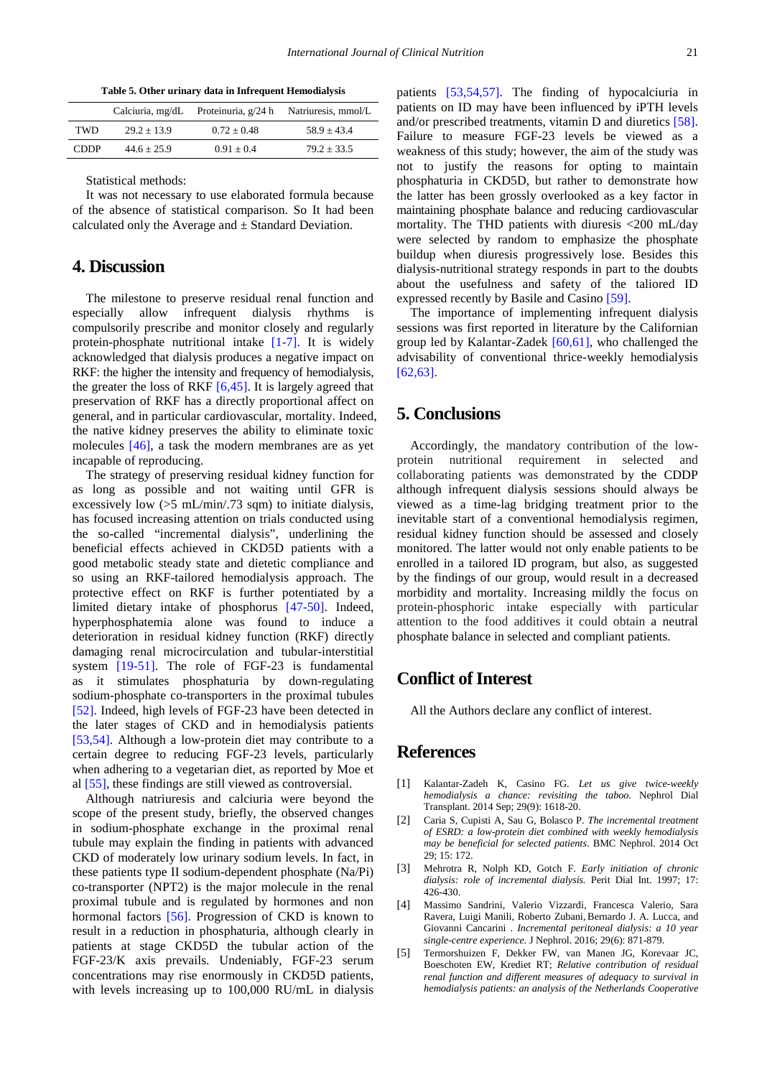**Table 5. Other urinary data in Infrequent Hemodialysis**

<span id="page-3-4"></span>

|             | Calciuria, mg/dL | Proteinuria, g/24 h | Natriuresis, mmol/L |
|-------------|------------------|---------------------|---------------------|
| TWD.        | $29.2 + 13.9$    | $0.72 + 0.48$       | $58.9 + 43.4$       |
| <b>CDDP</b> | $44.6 \pm 25.9$  | $0.91 + 0.4$        | $79.2 + 33.5$       |

Statistical methods:

It was not necessary to use elaborated formula because of the absence of statistical comparison. So It had been calculated only the Average and  $\pm$  Standard Deviation.

# **4. Discussion**

The milestone to preserve residual renal function and especially allow infrequent dialysis rhythms is compulsorily prescribe and monitor closely and regularly protein-phosphate nutritional intake [\[1-7\].](#page-3-0) It is widely acknowledged that dialysis produces a negative impact on RKF: the higher the intensity and frequency of hemodialysis, the greater the loss of RKF  $[6,45]$ . It is largely agreed that preservation of RKF has a directly proportional affect on general, and in particular cardiovascular, mortality. Indeed, the native kidney preserves the ability to eliminate toxic molecules [\[46\],](#page-5-0) a task the modern membranes are as yet incapable of reproducing.

The strategy of preserving residual kidney function for as long as possible and not waiting until GFR is excessively low  $(5 \text{ mL/min} / 0.73 \text{ sgm})$  to initiate dialysis, has focused increasing attention on trials conducted using the so-called "incremental dialysis", underlining the beneficial effects achieved in CKD5D patients with a good metabolic steady state and dietetic compliance and so using an RKF-tailored hemodialysis approach. The protective effect on RKF is further potentiated by a limited dietary intake of phosphorus [\[47-50\].](#page-5-1) Indeed, hyperphosphatemia alone was found to induce a deterioration in residual kidney function (RKF) directly damaging renal microcirculation and tubular-interstitial system [\[19-51\].](#page-4-8) The role of FGF-23 is fundamental as it stimulates phosphaturia by down-regulating sodium-phosphate co-transporters in the proximal tubules [\[52\].](#page-5-2) Indeed, high levels of FGF-23 have been detected in the later stages of CKD and in hemodialysis patients [\[53,54\].](#page-5-3) Although a low-protein diet may contribute to a certain degree to reducing FGF-23 levels, particularly when adhering to a vegetarian diet, as reported by Moe et al [\[55\],](#page-5-4) these findings are still viewed as controversial.

Although natriuresis and calciuria were beyond the scope of the present study, briefly, the observed changes in sodium-phosphate exchange in the proximal renal tubule may explain the finding in patients with advanced CKD of moderately low urinary sodium levels. In fact, in these patients type II sodium-dependent phosphate (Na/Pi) co-transporter (NPT2) is the major molecule in the renal proximal tubule and is regulated by hormones and non hormonal factors [\[56\].](#page-5-5) Progression of CKD is known to result in a reduction in phosphaturia, although clearly in patients at stage CKD5D the tubular action of the FGF-23/K axis prevails. Undeniably, FGF-23 serum concentrations may rise enormously in CKD5D patients, with levels increasing up to 100,000 RU/mL in dialysis patients [\[53,54,57\].](#page-5-3) The finding of hypocalciuria in patients on ID may have been influenced by iPTH levels and/or prescribed treatments, vitamin D and diuretics [\[58\].](#page-5-6) Failure to measure FGF-23 levels be viewed as a weakness of this study; however, the aim of the study was not to justify the reasons for opting to maintain phosphaturia in CKD5D, but rather to demonstrate how the latter has been grossly overlooked as a key factor in maintaining phosphate balance and reducing cardiovascular mortality. The THD patients with diuresis <200 mL/day were selected by random to emphasize the phosphate buildup when diuresis progressively lose. Besides this dialysis-nutritional strategy responds in part to the doubts about the usefulness and safety of the taliored ID expressed recently by Basile and Casino [\[59\].](#page-5-7)

The importance of implementing infrequent dialysis sessions was first reported in literature by the Californian group led by Kalantar-Zadek [\[60,61\],](#page-5-8) who challenged the advisability of conventional thrice-weekly hemodialysis [\[62,63\].](#page-5-9)

# **5. Conclusions**

Accordingly, the mandatory contribution of the lowprotein nutritional requirement in selected and collaborating patients was demonstrated by the CDDP although infrequent dialysis sessions should always be viewed as a time-lag bridging treatment prior to the inevitable start of a conventional hemodialysis regimen, residual kidney function should be assessed and closely monitored. The latter would not only enable patients to be enrolled in a tailored ID program, but also, as suggested by the findings of our group, would result in a decreased morbidity and mortality. Increasing mildly the focus on protein-phosphoric intake especially with particular attention to the food additives it could obtain a neutral phosphate balance in selected and compliant patients.

# **Conflict of Interest**

All the Authors declare any conflict of interest.

# **References**

- <span id="page-3-0"></span>[1] Kalantar-Zadeh K, Casino FG. *Let us give twice-weekly hemodialysis a chance: revisiting the taboo.* Nephrol Dial Transplant. 2014 Sep; 29(9): 1618-20.
- <span id="page-3-1"></span>[2] Caria S, Cupisti A, Sau G, Bolasco P. *The incremental treatment of ESRD: a low-protein diet combined with weekly hemodialysis may be beneficial for selected patients*. BMC Nephrol. 2014 Oct 29; 15: 172.
- <span id="page-3-2"></span>[3] Mehrotra R, Nolph KD, Gotch F. *Early initiation of chronic dialysis: role of incremental dialysis.* Perit Dial Int. 1997; 17: 426-430.
- [4] Massimo Sandrini, Valerio Vizzardi, Francesca Valerio, Sara Ravera, Luigi Manili, Roberto Zubani, Bernardo J. A. Lucca, and Giovanni Cancarini . *Incremental peritoneal dialysis: a 10 year single-centre experience.* J Nephrol. 2016; 29(6): 871-879.
- <span id="page-3-3"></span>[5] Termorshuizen F, Dekker FW, van Manen JG, Korevaar JC, Boeschoten EW, Krediet RT; *Relative contribution of residual renal function and different measures of adequacy to survival in hemodialysis patients: an analysis of the Netherlands Cooperative*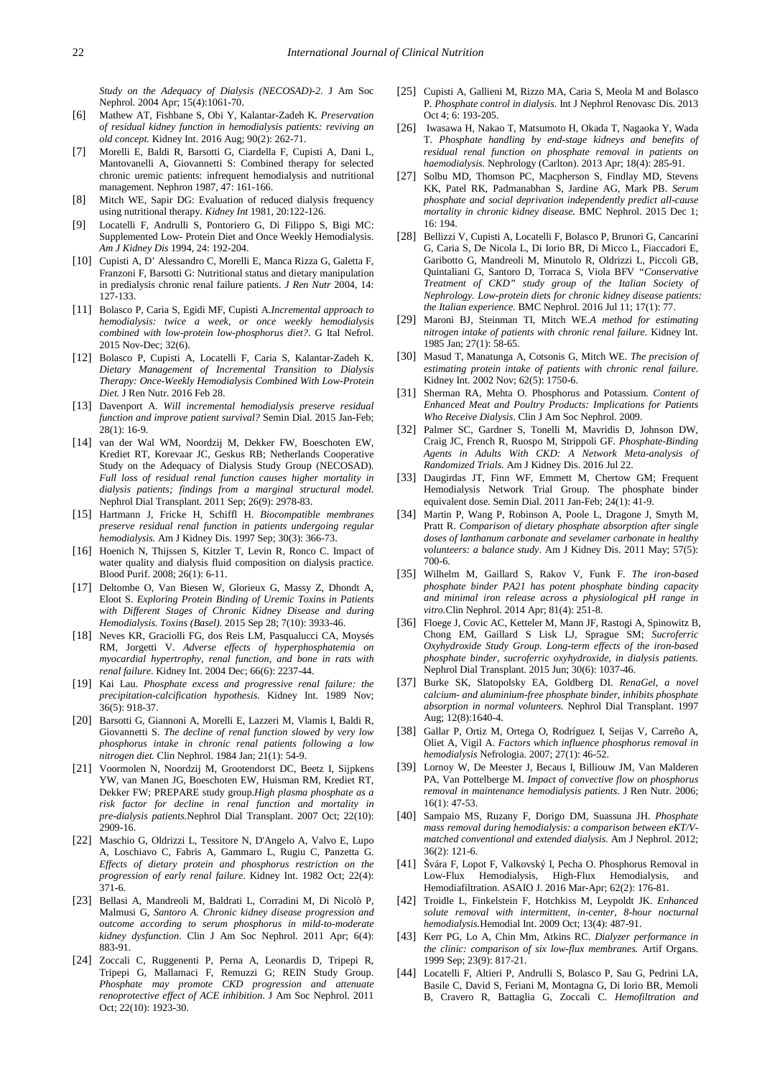*Study on the Adequacy of Dialysis (NECOSAD)-2.* J Am Soc Nephrol. 2004 Apr; 15(4):1061-70.

- <span id="page-4-21"></span>[6] Mathew AT, Fishbane S, Obi Y, Kalantar-Zadeh K. *Preservation of residual kidney function in hemodialysis patients: reviving an old concept.* Kidney Int. 2016 Aug; 90(2): 262-71.
- <span id="page-4-0"></span>[7] Morelli E, Baldi R, Barsotti G, Ciardella F, Cupisti A, Dani L, Mantovanelli A, Giovannetti S: Combined therapy for selected chronic uremic patients: infrequent hemodialysis and nutritional management. Nephron 1987, 47: 161-166.
- <span id="page-4-1"></span>[8] Mitch WE, Sapir DG: Evaluation of reduced dialysis frequency using nutritional therapy. *Kidney Int* 1981, 20:122-126.
- <span id="page-4-2"></span>[9] Locatelli F, Andrulli S, Pontoriero G, Di Filippo S, Bigi MC: Supplemented Low- Protein Diet and Once Weekly Hemodialysis. *Am J Kidney Dis* 1994, 24: 192-204.
- [10] Cupisti A, D' Alessandro C, Morelli E, Manca Rizza G, Galetta F, Franzoni F, Barsotti G: Nutritional status and dietary manipulation in predialysis chronic renal failure patients. *J Ren Nutr* 2004, 14: 127-133.
- <span id="page-4-3"></span>[11] Bolasco P, Caria S, Egidi MF, Cupisti A.*Incremental approach to hemodialysis: twice a week, or once weekly hemodialysis combined with low-protein low-phosphorus diet?*. G Ital Nefrol. 2015 Nov-Dec; 32(6).
- [12] Bolasco P, Cupisti A, Locatelli F, Caria S, Kalantar-Zadeh K. *Dietary Management of Incremental Transition to Dialysis Therapy: Once-Weekly Hemodialysis Combined With Low-Protein Diet.* J Ren Nutr. 2016 Feb 28.
- <span id="page-4-4"></span>[13] Davenport A. *Will incremental hemodialysis preserve residual function and improve patient survival?* Semin Dial. 2015 Jan-Feb; 28(1): 16-9.
- [14] van der Wal WM, Noordzij M, Dekker FW, Boeschoten EW, Krediet RT, Korevaar JC, Geskus RB; Netherlands Cooperative Study on the Adequacy of Dialysis Study Group (NECOSAD). *Full loss of residual renal function causes higher mortality in dialysis patients; findings from a marginal structural model.*  Nephrol Dial Transplant. 2011 Sep; 26(9): 2978-83.
- <span id="page-4-5"></span>[15] Hartmann J, Fricke H, Schiffl H. *Biocompatible membranes preserve residual renal function in patients undergoing regular hemodialysis.* Am J Kidney Dis. 1997 Sep; 30(3): 366-73.
- [16] Hoenich N, Thijssen S, Kitzler T, Levin R, Ronco C. Impact of water quality and dialysis fluid composition on dialysis practice. Blood Purif. 2008; 26(1): 6-11.
- <span id="page-4-6"></span>[17] Deltombe O, Van Biesen W, Glorieux G, Massy Z, Dhondt A, Eloot S. *Exploring Protein Binding of Uremic Toxins in Patients with Different Stages of Chronic Kidney Disease and during Hemodialysis. Toxins (Basel).* 2015 Sep 28; 7(10): 3933-46.
- <span id="page-4-7"></span>[18] Neves KR, Graciolli FG, dos Reis LM, Pasqualucci CA, Moysés RM, Jorgetti V. *Adverse effects of hyperphosphatemia on myocardial hypertrophy, renal function, and bone in rats with renal failure*. Kidney Int. 2004 Dec; 66(6): 2237-44.
- <span id="page-4-8"></span>[19] Kai Lau. *Phosphate excess and progressive renal failure: the precipitation-calcification hypothesis.* Kidney Int. 1989 Nov; 36(5): 918-37.
- <span id="page-4-9"></span>[20] Barsotti G, Giannoni A, Morelli E, Lazzeri M, Vlamis I, Baldi R, Giovannetti S. *The decline of renal function slowed by very low phosphorus intake in chronic renal patients following a low nitrogen diet.* Clin Nephrol. 1984 Jan; 21(1): 54-9.
- [21] Voormolen N, Noordzij M, Grootendorst DC, Beetz I, Sijpkens YW, van Manen JG, Boeschoten EW, Huisman RM, Krediet RT, Dekker FW; PREPARE study group.*High plasma phosphate as a risk factor for decline in renal function and mortality in pre-dialysis patients.*Nephrol Dial Transplant. 2007 Oct; 22(10): 2909-16.
- [22] Maschio G, Oldrizzi L, Tessitore N, D'Angelo A, Valvo E, Lupo A, Loschiavo C, Fabris A, Gammaro L, Rugiu C, Panzetta G. *Effects of dietary protein and phosphorus restriction on the progression of early renal failure*. Kidney Int. 1982 Oct; 22(4): 371-6.
- [23] Bellasi A, Mandreoli M, Baldrati L, Corradini M, Di Nicolò P, Malmusi G, *Santoro A. Chronic kidney disease progression and outcome according to serum phosphorus in mild-to-moderate kidney dysfunction*. Clin J Am Soc Nephrol. 2011 Apr; 6(4): 883-91.
- [24] Zoccali C, Ruggenenti P, Perna A, Leonardis D, Tripepi R, Tripepi G, Mallamaci F, Remuzzi G; REIN Study Group. *Phosphate may promote CKD progression and attenuate renoprotective effect of ACE inhibition*. J Am Soc Nephrol. 2011 Oct; 22(10): 1923-30.
- [25] Cupisti A, Gallieni M, Rizzo MA, Caria S, Meola M and Bolasco P. *Phosphate control in dialysis.* Int J Nephrol Renovasc Dis. 2013 Oct 4; 6: 193-205.
- <span id="page-4-11"></span>[26] Iwasawa H, Nakao T, Matsumoto H, Okada T, Nagaoka Y, Wada T. *Phosphate handling by end-stage kidneys and benefits of residual renal function on phosphate removal in patients on haemodialysis.* Nephrology (Carlton). 2013 Apr; 18(4): 285-91.
- [27] Solbu MD, Thomson PC, Macpherson S, Findlay MD, Stevens KK, Patel RK, Padmanabhan S, Jardine AG, Mark PB. *Serum phosphate and social deprivation independently predict all-cause mortality in chronic kidney disease.* BMC Nephrol. 2015 Dec 1; 16: 194.
- <span id="page-4-10"></span>[28] Bellizzi V, Cupisti A, Locatelli F, Bolasco P, Brunori G, Cancarini G, Caria S, De Nicola L, Di Iorio BR, Di Micco L, Fiaccadori E, Garibotto G, Mandreoli M, Minutolo R, Oldrizzi L, Piccoli GB, Quintaliani G, Santoro D, Torraca S, Viola BFV *"Conservative Treatment of CKD" study group of the Italian Society of Nephrology. Low-protein diets for chronic kidney disease patients: the Italian experience.* BMC Nephrol. 2016 Jul 11; 17(1): 77.
- <span id="page-4-12"></span>[29] Maroni BJ, Steinman TI, Mitch WE.*A method for estimating nitrogen intake of patients with chronic renal failure.* Kidney Int. 1985 Jan; 27(1): 58-65.
- <span id="page-4-13"></span>[30] Masud T, Manatunga A, Cotsonis G, Mitch WE. *The precision of estimating protein intake of patients with chronic renal failure*. Kidney Int. 2002 Nov; 62(5): 1750-6.
- <span id="page-4-14"></span>[31] Sherman RA, Mehta O. Phosphorus and Potassium. *Content of Enhanced Meat and Poultry Products: Implications for Patients Who Receive Dialysis*. Clin J Am Soc Nephrol. 2009.
- <span id="page-4-15"></span>[32] Palmer SC, Gardner S, Tonelli M, Mavridis D, Johnson DW, Craig JC, French R, Ruospo M, Strippoli GF. *Phosphate-Binding Agents in Adults With CKD: A Network Meta-analysis of Randomized Trials.* Am J Kidney Dis. 2016 Jul 22.
- <span id="page-4-16"></span>[33] Daugirdas JT, Finn WF, Emmett M, Chertow GM; Frequent Hemodialysis Network Trial Group. The phosphate binder equivalent dose. Semin Dial. 2011 Jan-Feb; 24(1): 41-9.
- <span id="page-4-17"></span>[34] Martin P, Wang P, Robinson A, Poole L, Dragone J, Smyth M, Pratt R. *Comparison of dietary phosphate absorption after single doses of lanthanum carbonate and sevelamer carbonate in healthy volunteers: a balance study*. Am J Kidney Dis. 2011 May; 57(5): 700-6.
- [35] Wilhelm M, Gaillard S, Rakov V, Funk F. *The iron-based phosphate binder PA21 has potent phosphate binding capacity and minimal iron release across a physiological pH range in vitro.*Clin Nephrol. 2014 Apr; 81(4): 251-8.
- [36] Floege J, Covic AC, Ketteler M, Mann JF, Rastogi A, Spinowitz B, Chong EM, Gaillard S Lisk LJ, Sprague SM; *Sucroferric Oxyhydroxide Study Group. Long-term effects of the iron-based phosphate binder, sucroferric oxyhydroxide, in dialysis patients.* Nephrol Dial Transplant. 2015 Jun; 30(6): 1037-46.
- [37] Burke SK, Slatopolsky EA, Goldberg DI. *RenaGel, a novel calcium- and aluminium-free phosphate binder, inhibits phosphate absorption in normal volunteers.* Nephrol Dial Transplant. 1997 Aug; 12(8):1640-4.
- <span id="page-4-18"></span>[38] Gallar P, Ortiz M, Ortega O, Rodríguez I, Seijas V, Carreño A, Oliet A, Vigil A. *Factors which influence phosphorus removal in hemodialysis* Nefrologia. 2007; 27(1): 46-52.
- <span id="page-4-19"></span>[39] Lornoy W, De Meester J, Becaus I, Billiouw JM, Van Malderen PA, Van Pottelberge M. *Impact of convective flow on phosphorus removal in maintenance hemodialysis patients*. J Ren Nutr. 2006; 16(1): 47-53.
- [40] Sampaio MS, Ruzany F, Dorigo DM, Suassuna JH. *Phosphate mass removal during hemodialysis: a comparison between eKT/Vmatched conventional and extended dialysis.* Am J Nephrol. 2012; 36(2): 121-6.
- [41] Švára F, Lopot F, Valkovský I, Pecha O. Phosphorus Removal in Low-Flux Hemodialysis, High-Flux Hemodialysis, and Hemodiafiltration. ASAIO J. 2016 Mar-Apr; 62(2): 176-81.
- [42] Troidle L, Finkelstein F, Hotchkiss M, Leypoldt JK. *Enhanced solute removal with intermittent, in-center, 8-hour nocturnal hemodialysis.*Hemodial Int. 2009 Oct; 13(4): 487-91.
- [43] Kerr PG, Lo A, Chin Mm, Atkins RC. *Dialyzer performance in the clinic: comparison of six low-flux membranes.* Artif Organs. 1999 Sep; 23(9): 817-21.
- <span id="page-4-20"></span>[44] Locatelli F, Altieri P, Andrulli S, Bolasco P, Sau G, Pedrini LA, Basile C, David S, Feriani M, Montagna G, Di Iorio BR, Memoli B, Cravero R, Battaglia G, Zoccali C. *Hemofiltration and*